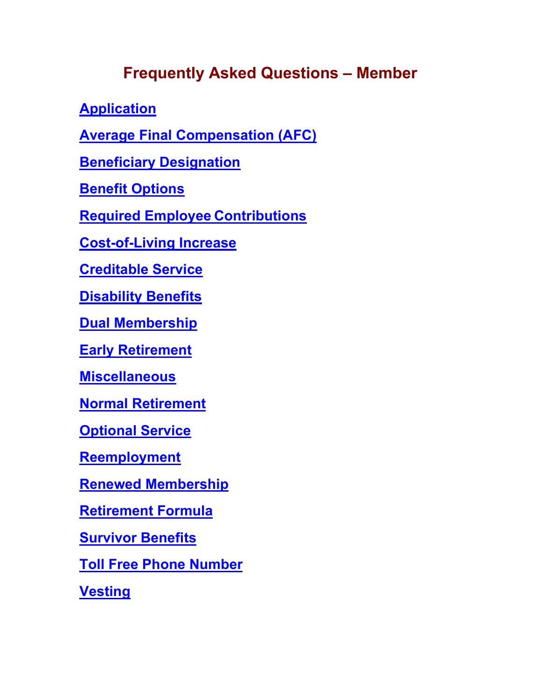# **Frequently Asked Questions – Member**

**[Application](#page-1-0)**

**[Average Final Compensation \(AFC\)](#page-2-0)**

**Beneficiary [Designation](#page-2-1)**

**[Benefit Options](#page-2-2)**

**[Required Employee](#page-4-0) Contributions**

**[Cost-of-Living Increase](#page-5-0)**

**[Creditable Service](#page-5-1)**

**[Disability Benefits](#page-7-0)**

**[Dual Membership](#page-8-0)**

**[Early Retirement](#page-8-1)**

**[Miscellaneous](#page-8-2)**

**[Normal Retirement](#page-9-0)**

**[Optional Service](#page-10-0)**

**[Reemployment](#page-10-1)**

**[Renewed Membership](#page-11-0)**

**[Retirement Formula](#page-12-0)**

**[Survivor Benefits](#page-13-0)**

**[Toll Free Phone Number](#page-14-0)**

**[Vesting](#page-14-1)**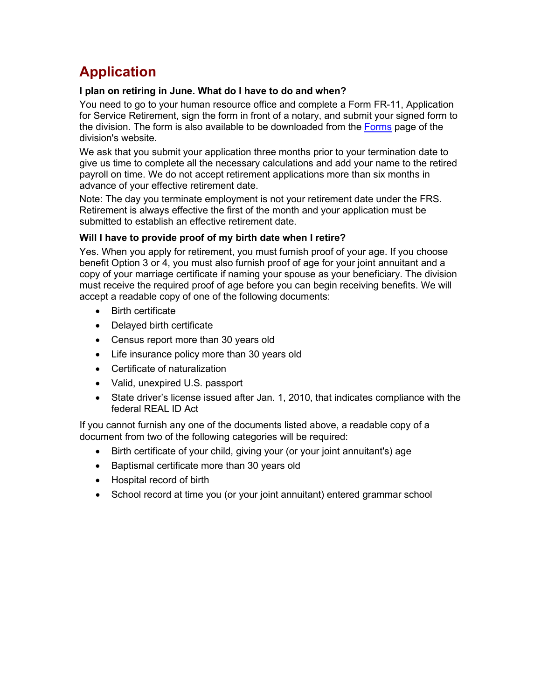# <span id="page-1-0"></span>**Application**

## **I plan on retiring in June. What do I have to do and when?**

You need to go to your human resource office and complete a Form FR-11, Application for Service Retirement, sign the form in front of a notary, and submit your signed form to the division. The form is also available to be downloaded from the [Forms](https://www.dms.myflorida.com/workforce_operations/retirement/forms/active_member_forms) page of the division's website.

We ask that you submit your application three months prior to your termination date to give us time to complete all the necessary calculations and add your name to the retired payroll on time. We do not accept retirement applications more than six months in advance of your effective retirement date.

Note: The day you terminate employment is not your retirement date under the FRS. Retirement is always effective the first of the month and your application must be submitted to establish an effective retirement date.

## **Will I have to provide proof of my birth date when I retire?**

Yes. When you apply for retirement, you must furnish proof of your age. If you choose benefit Option 3 or 4, you must also furnish proof of age for your joint annuitant and a copy of your marriage certificate if naming your spouse as your beneficiary. The division must receive the required proof of age before you can begin receiving benefits. We will accept a readable copy of one of the following documents:

- Birth certificate
- Delayed birth certificate
- Census report more than 30 years old
- Life insurance policy more than 30 years old
- Certificate of naturalization
- Valid, unexpired U.S. passport
- State driver's license issued after Jan. 1, 2010, that indicates compliance with the federal REAL ID Act

If you cannot furnish any one of the documents listed above, a readable copy of a document from two of the following categories will be required:

- Birth certificate of your child, giving your (or your joint annuitant's) age
- Baptismal certificate more than 30 years old
- Hospital record of birth
- School record at time you (or your joint annuitant) entered grammar school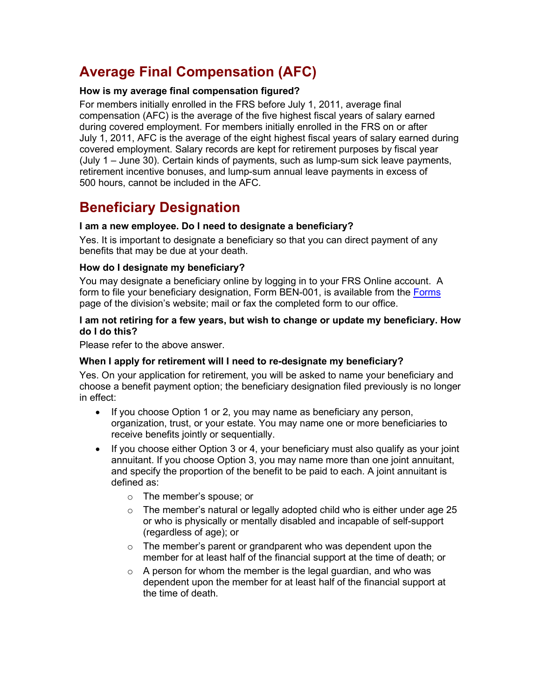# <span id="page-2-0"></span>**Average Final Compensation (AFC)**

## **How is my average final compensation figured?**

For members initially enrolled in the FRS before July 1, 2011, average final compensation (AFC) is the average of the five highest fiscal years of salary earned during covered employment. For members initially enrolled in the FRS on or after July 1, 2011, AFC is the average of the eight highest fiscal years of salary earned during covered employment. Salary records are kept for retirement purposes by fiscal year (July 1 – June 30). Certain kinds of payments, such as lump-sum sick leave payments, retirement incentive bonuses, and lump-sum annual leave payments in excess of 500 hours, cannot be included in the AFC.

## <span id="page-2-1"></span>**Beneficiary Designation**

## **I am a new employee. Do I need to designate a beneficiary?**

Yes. It is important to designate a beneficiary so that you can direct payment of any benefits that may be due at your death.

## **How do I designate my beneficiary?**

You may designate a beneficiary online by logging in to your FRS Online account. A form to file your beneficiary designation, Form BEN-001, is available from the [Forms](https://www.dms.myflorida.com/workforce_operations/retirement/forms/active_member_forms) page of the division's website; mail or fax the completed form to our office.

## **I am not retiring for a few years, but wish to change or update my beneficiary. How do I do this?**

Please refer to the above answer.

## **When I apply for retirement will I need to re-designate my beneficiary?**

Yes. On your application for retirement, you will be asked to name your beneficiary and choose a benefit payment option; the beneficiary designation filed previously is no longer in effect:

- If you choose Option 1 or 2, you may name as beneficiary any person, organization, trust, or your estate. You may name one or more beneficiaries to receive benefits jointly or sequentially.
- <span id="page-2-2"></span>• If you choose either Option 3 or 4, your beneficiary must also qualify as your joint annuitant. If you choose Option 3, you may name more than one joint annuitant, and specify the proportion of the benefit to be paid to each. A joint annuitant is defined as:
	- o The member's spouse; or
	- $\circ$  The member's natural or legally adopted child who is either under age 25 or who is physically or mentally disabled and incapable of self-support (regardless of age); or
	- $\circ$  The member's parent or grandparent who was dependent upon the member for at least half of the financial support at the time of death; or
	- $\circ$  A person for whom the member is the legal guardian, and who was dependent upon the member for at least half of the financial support at the time of death.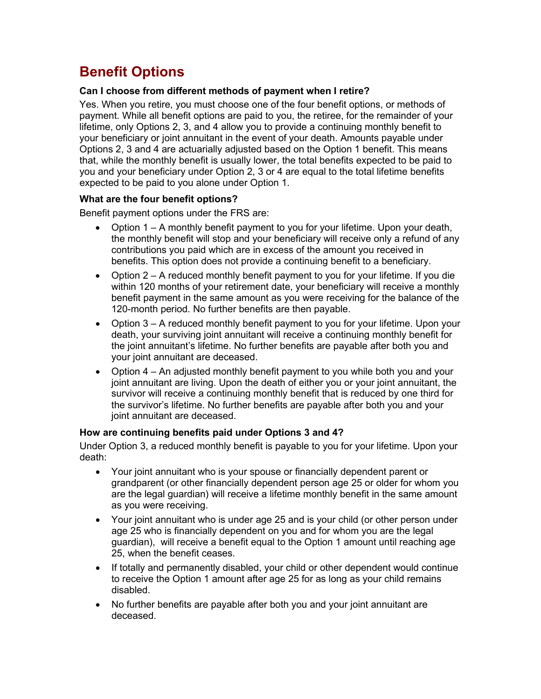# **Benefit Options**

## **Can I choose from different methods of payment when I retire?**

Yes. When you retire, you must choose one of the four benefit options, or methods of payment. While all benefit options are paid to you, the retiree, for the remainder of your lifetime, only Options 2, 3, and 4 allow you to provide a continuing monthly benefit to your beneficiary or joint annuitant in the event of your death. Amounts payable under Options 2, 3 and 4 are actuarially adjusted based on the Option 1 benefit. This means that, while the monthly benefit is usually lower, the total benefits expected to be paid to you and your beneficiary under Option 2, 3 or 4 are equal to the total lifetime benefits expected to be paid to you alone under Option 1.

## **What are the four benefit options?**

Benefit payment options under the FRS are:

- Option  $1 A$  monthly benefit payment to you for your lifetime. Upon your death, the monthly benefit will stop and your beneficiary will receive only a refund of any contributions you paid which are in excess of the amount you received in benefits. This option does not provide a continuing benefit to a beneficiary.
- Option 2 A reduced monthly benefit payment to you for your lifetime. If you die within 120 months of your retirement date, your beneficiary will receive a monthly benefit payment in the same amount as you were receiving for the balance of the 120-month period. No further benefits are then payable.
- Option 3 A reduced monthly benefit payment to you for your lifetime. Upon your death, your surviving joint annuitant will receive a continuing monthly benefit for the joint annuitant's lifetime. No further benefits are payable after both you and your joint annuitant are deceased.
- Option 4 An adjusted monthly benefit payment to you while both you and your joint annuitant are living. Upon the death of either you or your joint annuitant, the survivor will receive a continuing monthly benefit that is reduced by one third for the survivor's lifetime. No further benefits are payable after both you and your joint annuitant are deceased.

## **How are continuing benefits paid under Options 3 and 4?**

Under Option 3, a reduced monthly benefit is payable to you for your lifetime. Upon your death:

- Your joint annuitant who is your spouse or financially dependent parent or grandparent (or other financially dependent person age 25 or older for whom you are the legal guardian) will receive a lifetime monthly benefit in the same amount as you were receiving.
- Your joint annuitant who is under age 25 and is your child (or other person under age 25 who is financially dependent on you and for whom you are the legal guardian), will receive a benefit equal to the Option 1 amount until reaching age 25, when the benefit ceases.
- If totally and permanently disabled, your child or other dependent would continue to receive the Option 1 amount after age 25 for as long as your child remains disabled.
- No further benefits are payable after both you and your joint annuitant are deceased.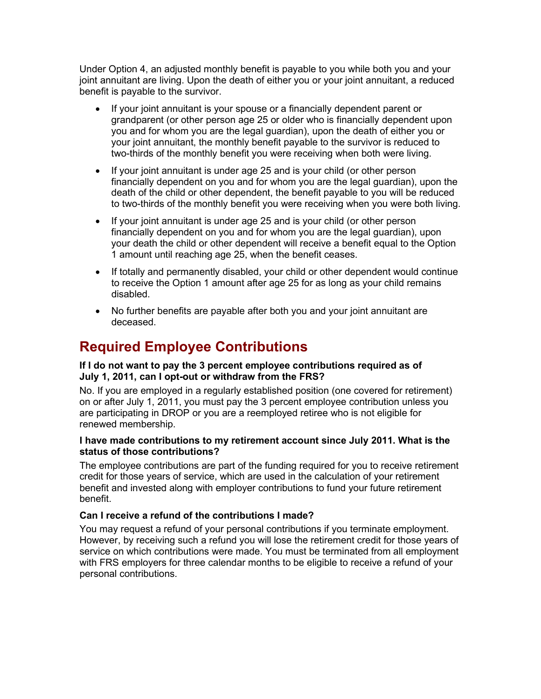Under Option 4, an adjusted monthly benefit is payable to you while both you and your joint annuitant are living. Upon the death of either you or your joint annuitant, a reduced benefit is payable to the survivor.

- If your joint annuitant is your spouse or a financially dependent parent or grandparent (or other person age 25 or older who is financially dependent upon you and for whom you are the legal guardian), upon the death of either you or your joint annuitant, the monthly benefit payable to the survivor is reduced to two-thirds of the monthly benefit you were receiving when both were living.
- If your joint annuitant is under age 25 and is your child (or other person financially dependent on you and for whom you are the legal guardian), upon the death of the child or other dependent, the benefit payable to you will be reduced to two-thirds of the monthly benefit you were receiving when you were both living.
- If your joint annuitant is under age 25 and is your child (or other person financially dependent on you and for whom you are the legal guardian), upon your death the child or other dependent will receive a benefit equal to the Option 1 amount until reaching age 25, when the benefit ceases.
- If totally and permanently disabled, your child or other dependent would continue to receive the Option 1 amount after age 25 for as long as your child remains disabled.
- <span id="page-4-0"></span>• No further benefits are payable after both you and your joint annuitant are deceased.

## **Required Employee Contributions**

## **If I do not want to pay the 3 percent employee contributions required as of July 1, 2011, can I opt-out or withdraw from the FRS?**

No. If you are employed in a regularly established position (one covered for retirement) on or after July 1, 2011, you must pay the 3 percent employee contribution unless you are participating in DROP or you are a reemployed retiree who is not eligible for renewed membership.

## **I have made contributions to my retirement account since July 2011. What is the status of those contributions?**

The employee contributions are part of the funding required for you to receive retirement credit for those years of service, which are used in the calculation of your retirement benefit and invested along with employer contributions to fund your future retirement benefit.

## **Can I receive a refund of the contributions I made?**

You may request a refund of your personal contributions if you terminate employment. However, by receiving such a refund you will lose the retirement credit for those years of service on which contributions were made. You must be terminated from all employment with FRS employers for three calendar months to be eligible to receive a refund of your personal contributions.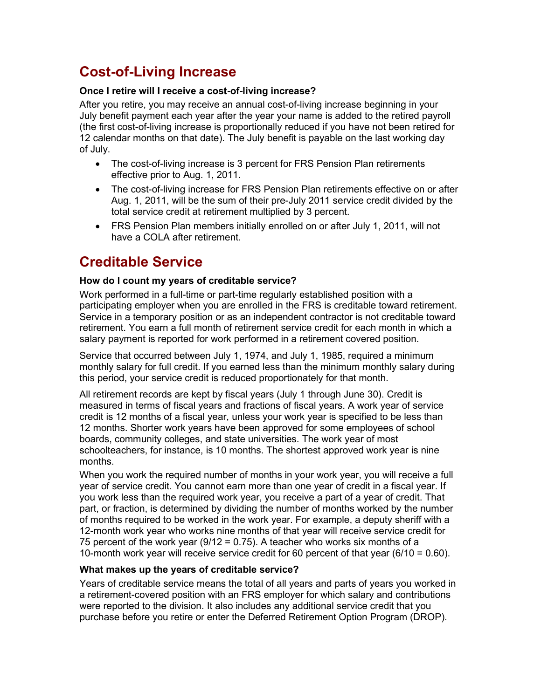# <span id="page-5-0"></span>**Cost-of-Living Increase**

## **Once I retire will I receive a cost-of-living increase?**

After you retire, you may receive an annual cost-of-living increase beginning in your July benefit payment each year after the year your name is added to the retired payroll (the first cost-of-living increase is proportionally reduced if you have not been retired for 12 calendar months on that date). The July benefit is payable on the last working day of July.

- The cost-of-living increase is 3 percent for FRS Pension Plan retirements effective prior to Aug. 1, 2011.
- The cost-of-living increase for FRS Pension Plan retirements effective on or after Aug. 1, 2011, will be the sum of their pre-July 2011 service credit divided by the total service credit at retirement multiplied by 3 percent.
- FRS Pension Plan members initially enrolled on or after July 1, 2011, will not have a COLA after retirement.

## <span id="page-5-1"></span>**Creditable Service**

## **How do I count my years of creditable service?**

Work performed in a full-time or part-time regularly established position with a participating employer when you are enrolled in the FRS is creditable toward retirement. Service in a temporary position or as an independent contractor is not creditable toward retirement. You earn a full month of retirement service credit for each month in which a salary payment is reported for work performed in a retirement covered position.

Service that occurred between July 1, 1974, and July 1, 1985, required a minimum monthly salary for full credit. If you earned less than the minimum monthly salary during this period, your service credit is reduced proportionately for that month.

All retirement records are kept by fiscal years (July 1 through June 30). Credit is measured in terms of fiscal years and fractions of fiscal years. A work year of service credit is 12 months of a fiscal year, unless your work year is specified to be less than 12 months. Shorter work years have been approved for some employees of school boards, community colleges, and state universities. The work year of most schoolteachers, for instance, is 10 months. The shortest approved work year is nine months.

When you work the required number of months in your work year, you will receive a full year of service credit. You cannot earn more than one year of credit in a fiscal year. If you work less than the required work year, you receive a part of a year of credit. That part, or fraction, is determined by dividing the number of months worked by the number of months required to be worked in the work year. For example, a deputy sheriff with a 12-month work year who works nine months of that year will receive service credit for 75 percent of the work year (9/12 = 0.75). A teacher who works six months of a 10-month work year will receive service credit for 60 percent of that year (6/10 = 0.60).

## **What makes up the years of creditable service?**

Years of creditable service means the total of all years and parts of years you worked in a retirement-covered position with an FRS employer for which salary and contributions were reported to the division. It also includes any additional service credit that you purchase before you retire or enter the Deferred Retirement Option Program (DROP).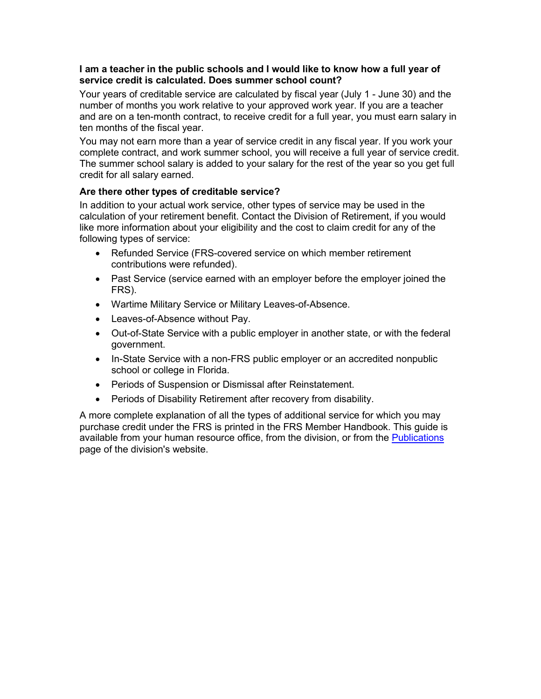#### **I am a teacher in the public schools and I would like to know how a full year of service credit is calculated. Does summer school count?**

Your years of creditable service are calculated by fiscal year (July 1 - June 30) and the number of months you work relative to your approved work year. If you are a teacher and are on a ten-month contract, to receive credit for a full year, you must earn salary in ten months of the fiscal year.

You may not earn more than a year of service credit in any fiscal year. If you work your complete contract, and work summer school, you will receive a full year of service credit. The summer school salary is added to your salary for the rest of the year so you get full credit for all salary earned.

## **Are there other types of creditable service?**

In addition to your actual work service, other types of service may be used in the calculation of your retirement benefit. Contact the Division of Retirement, if you would like more information about your eligibility and the cost to claim credit for any of the following types of service:

- Refunded Service (FRS-covered service on which member retirement contributions were refunded).
- Past Service (service earned with an employer before the employer joined the FRS).
- Wartime Military Service or Military Leaves-of-Absence.
- Leaves-of-Absence without Pay.
- Out-of-State Service with a public employer in another state, or with the federal government.
- In-State Service with a non-FRS public employer or an accredited nonpublic school or college in Florida.
- Periods of Suspension or Dismissal after Reinstatement.
- Periods of Disability Retirement after recovery from disability.

A more complete explanation of all the types of additional service for which you may purchase credit under the FRS is printed in the FRS Member Handbook. This guide is available from your human resource office, from the division, or from the **Publications** page of the division's website.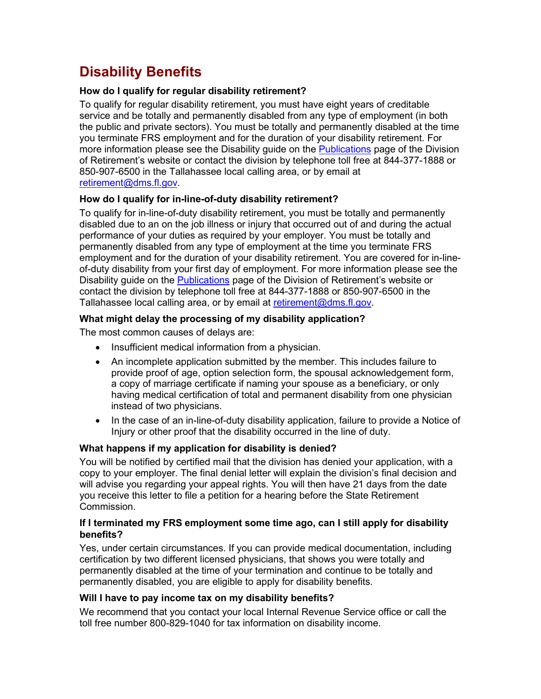# <span id="page-7-0"></span>**Disability Benefits**

## **How do I qualify for regular disability retirement?**

To qualify for regular disability retirement, you must have eight years of creditable service and be totally and permanently disabled from any type of employment (in both the public and private sectors). You must be totally and permanently disabled at the time you terminate FRS employment and for the duration of your disability retirement. For more information please see the Disability guide on the [Publications](https://www.dms.myflorida.com/workforce_operations/retirement/publications) page of the Division of Retirement's website or contact the division by telephone toll free at 844-377-1888 or 850-907-6500 in the Tallahassee local calling area, or by email at [retirement@dms.fl.gov.](mailto:retirement@dms.fl.gov)

## **How do I qualify for in-line-of-duty disability retirement?**

To qualify for in-line-of-duty disability retirement, you must be totally and permanently disabled due to an on the job illness or injury that occurred out of and during the actual performance of your duties as required by your employer. You must be totally and permanently disabled from any type of employment at the time you terminate FRS employment and for the duration of your disability retirement. You are covered for in-lineof-duty disability from your first day of employment. For more information please see the Disability guide on the [Publications](https://www.dms.myflorida.com/workforce_operations/retirement/publications) page of the Division of Retirement's website or contact the division by telephone toll free at 844-377-1888 or 850-907-6500 in the Tallahassee local calling area, or by email at [retirement@dms.fl.gov.](mailto:retirement@dms.fl.gov)

## **What might delay the processing of my disability application?**

The most common causes of delays are:

- Insufficient medical information from a physician.
- An incomplete application submitted by the member. This includes failure to provide proof of age, option selection form, the spousal acknowledgement form, a copy of marriage certificate if naming your spouse as a beneficiary, or only having medical certification of total and permanent disability from one physician instead of two physicians.
- In the case of an in-line-of-duty disability application, failure to provide a Notice of Injury or other proof that the disability occurred in the line of duty.

## **What happens if my application for disability is denied?**

You will be notified by certified mail that the division has denied your application, with a copy to your employer. The final denial letter will explain the division's final decision and will advise you regarding your appeal rights. You will then have 21 days from the date you receive this letter to file a petition for a hearing before the State Retirement Commission.

#### **If I terminated my FRS employment some time ago, can I still apply for disability benefits?**

Yes, under certain circumstances. If you can provide medical documentation, including certification by two different licensed physicians, that shows you were totally and permanently disabled at the time of your termination and continue to be totally and permanently disabled, you are eligible to apply for disability benefits.

## **Will I have to pay income tax on my disability benefits?**

We recommend that you contact your local Internal Revenue Service office or call the toll free number 800-829-1040 for tax information on disability income.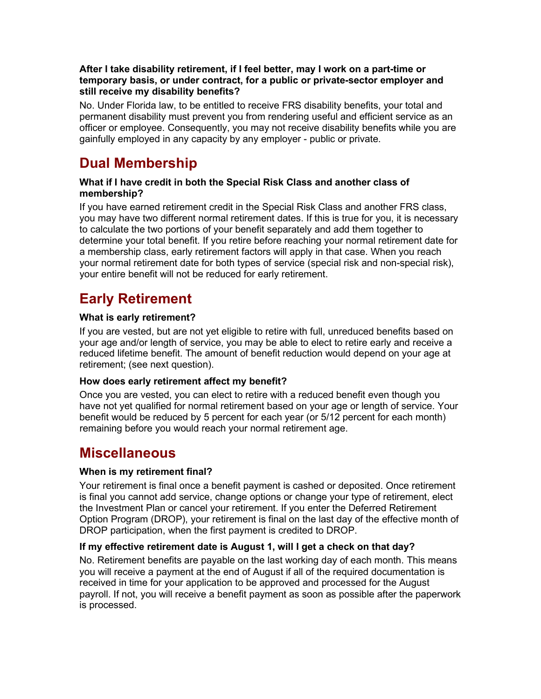## **After I take disability retirement, if I feel better, may I work on a part-time or temporary basis, or under contract, for a public or private-sector employer and still receive my disability benefits?**

No. Under Florida law, to be entitled to receive FRS disability benefits, your total and permanent disability must prevent you from rendering useful and efficient service as an officer or employee. Consequently, you may not receive disability benefits while you are gainfully employed in any capacity by any employer - public or private.

# <span id="page-8-0"></span>**Dual Membership**

## **What if I have credit in both the Special Risk Class and another class of membership?**

If you have earned retirement credit in the Special Risk Class and another FRS class, you may have two different normal retirement dates. If this is true for you, it is necessary to calculate the two portions of your benefit separately and add them together to determine your total benefit. If you retire before reaching your normal retirement date for a membership class, early retirement factors will apply in that case. When you reach your normal retirement date for both types of service (special risk and non-special risk), your entire benefit will not be reduced for early retirement.

# <span id="page-8-1"></span>**Early Retirement**

## **What is early retirement?**

If you are vested, but are not yet eligible to retire with full, unreduced benefits based on your age and/or length of service, you may be able to elect to retire early and receive a reduced lifetime benefit. The amount of benefit reduction would depend on your age at retirement; (see next question).

## **How does early retirement affect my benefit?**

Once you are vested, you can elect to retire with a reduced benefit even though you have not yet qualified for normal retirement based on your age or length of service. Your benefit would be reduced by 5 percent for each year (or 5/12 percent for each month) remaining before you would reach your normal retirement age.

## <span id="page-8-2"></span>**Miscellaneous**

## **When is my retirement final?**

Your retirement is final once a benefit payment is cashed or deposited. Once retirement is final you cannot add service, change options or change your type of retirement, elect the Investment Plan or cancel your retirement. If you enter the Deferred Retirement Option Program (DROP), your retirement is final on the last day of the effective month of DROP participation, when the first payment is credited to DROP.

## **If my effective retirement date is August 1, will I get a check on that day?**

No. Retirement benefits are payable on the last working day of each month. This means you will receive a payment at the end of August if all of the required documentation is received in time for your application to be approved and processed for the August payroll. If not, you will receive a benefit payment as soon as possible after the paperwork is processed.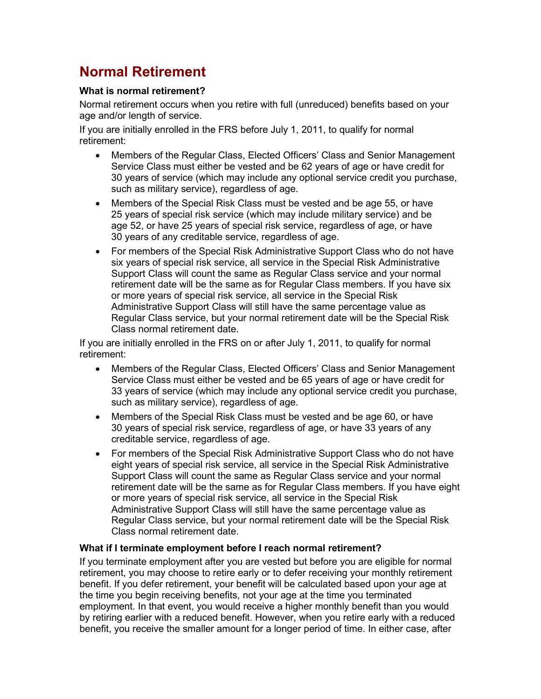# <span id="page-9-0"></span>**Normal Retirement**

## **What is normal retirement?**

Normal retirement occurs when you retire with full (unreduced) benefits based on your age and/or length of service.

If you are initially enrolled in the FRS before July 1, 2011, to qualify for normal retirement:

- Members of the Regular Class, Elected Officers' Class and Senior Management Service Class must either be vested and be 62 years of age or have credit for 30 years of service (which may include any optional service credit you purchase, such as military service), regardless of age.
- Members of the Special Risk Class must be vested and be age 55, or have 25 years of special risk service (which may include military service) and be age 52, or have 25 years of special risk service, regardless of age, or have 30 years of any creditable service, regardless of age.
- For members of the Special Risk Administrative Support Class who do not have six years of special risk service, all service in the Special Risk Administrative Support Class will count the same as Regular Class service and your normal retirement date will be the same as for Regular Class members. If you have six or more years of special risk service, all service in the Special Risk Administrative Support Class will still have the same percentage value as Regular Class service, but your normal retirement date will be the Special Risk Class normal retirement date.

If you are initially enrolled in the FRS on or after July 1, 2011, to qualify for normal retirement:

- Members of the Regular Class, Elected Officers' Class and Senior Management Service Class must either be vested and be 65 years of age or have credit for 33 years of service (which may include any optional service credit you purchase, such as military service), regardless of age.
- Members of the Special Risk Class must be vested and be age 60, or have 30 years of special risk service, regardless of age, or have 33 years of any creditable service, regardless of age.
- For members of the Special Risk Administrative Support Class who do not have eight years of special risk service, all service in the Special Risk Administrative Support Class will count the same as Regular Class service and your normal retirement date will be the same as for Regular Class members. If you have eight or more years of special risk service, all service in the Special Risk Administrative Support Class will still have the same percentage value as Regular Class service, but your normal retirement date will be the Special Risk Class normal retirement date.

## **What if I terminate employment before I reach normal retirement?**

If you terminate employment after you are vested but before you are eligible for normal retirement, you may choose to retire early or to defer receiving your monthly retirement benefit. If you defer retirement, your benefit will be calculated based upon your age at the time you begin receiving benefits, not your age at the time you terminated employment. In that event, you would receive a higher monthly benefit than you would by retiring earlier with a reduced benefit. However, when you retire early with a reduced benefit, you receive the smaller amount for a longer period of time. In either case, after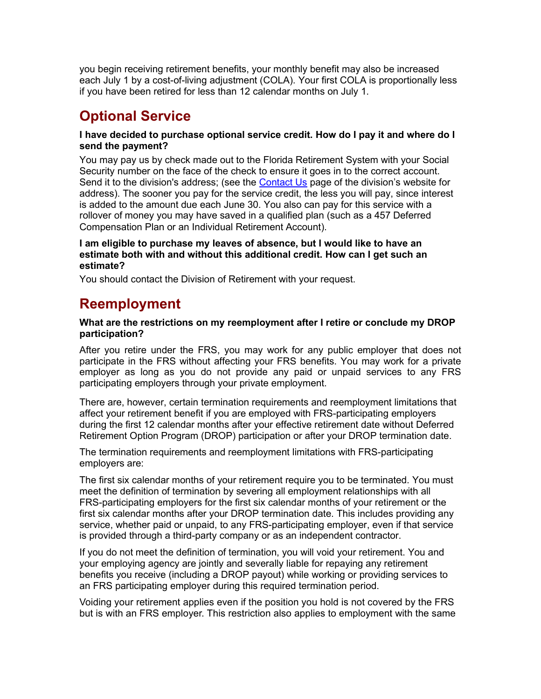you begin receiving retirement benefits, your monthly benefit may also be increased each July 1 by a cost-of-living adjustment (COLA). Your first COLA is proportionally less if you have been retired for less than 12 calendar months on July 1.

# <span id="page-10-0"></span>**Optional Service**

## **I have decided to purchase optional service credit. How do I pay it and where do I send the payment?**

You may pay us by check made out to the Florida Retirement System with your Social Security number on the face of the check to ensure it goes in to the correct account. Send it to the division's address; (see the [Contact Us](http://dms.myflorida.com/human_resource_support/retirement/contact_us) page of the division's website for address). The sooner you pay for the service credit, the less you will pay, since interest is added to the amount due each June 30. You also can pay for this service with a rollover of money you may have saved in a qualified plan (such as a 457 Deferred Compensation Plan or an Individual Retirement Account).

#### **I am eligible to purchase my leaves of absence, but I would like to have an estimate both with and without this additional credit. How can I get such an estimate?**

<span id="page-10-1"></span>You should contact the Division of Retirement with your request.

## **Reemployment**

## **What are the restrictions on my reemployment after I retire or conclude my DROP participation?**

After you retire under the FRS, you may work for any public employer that does not participate in the FRS without affecting your FRS benefits. You may work for a private employer as long as you do not provide any paid or unpaid services to any FRS participating employers through your private employment.

There are, however, certain termination requirements and reemployment limitations that affect your retirement benefit if you are employed with FRS-participating employers during the first 12 calendar months after your effective retirement date without Deferred Retirement Option Program (DROP) participation or after your DROP termination date.

The termination requirements and reemployment limitations with FRS-participating employers are:

The first six calendar months of your retirement require you to be terminated. You must meet the definition of termination by severing all employment relationships with all FRS-participating employers for the first six calendar months of your retirement or the first six calendar months after your DROP termination date. This includes providing any service, whether paid or unpaid, to any FRS-participating employer, even if that service is provided through a third-party company or as an independent contractor.

If you do not meet the definition of termination, you will void your retirement. You and your employing agency are jointly and severally liable for repaying any retirement benefits you receive (including a DROP payout) while working or providing services to an FRS participating employer during this required termination period.

Voiding your retirement applies even if the position you hold is not covered by the FRS but is with an FRS employer. This restriction also applies to employment with the same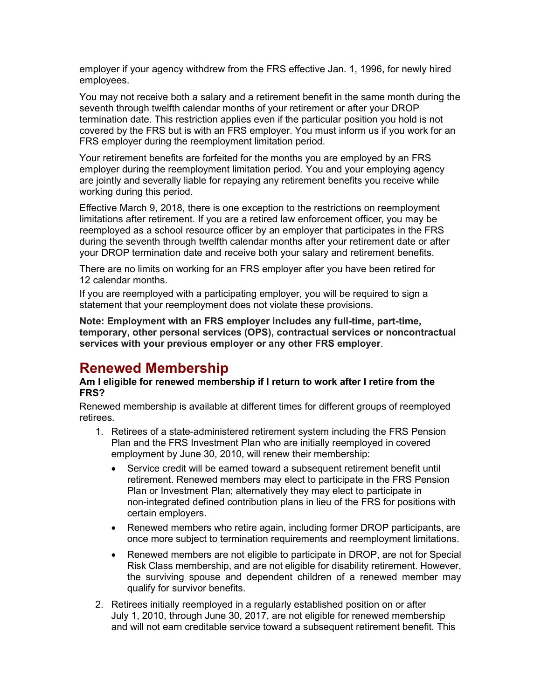employer if your agency withdrew from the FRS effective Jan. 1, 1996, for newly hired employees.

You may not receive both a salary and a retirement benefit in the same month during the seventh through twelfth calendar months of your retirement or after your DROP termination date. This restriction applies even if the particular position you hold is not covered by the FRS but is with an FRS employer. You must inform us if you work for an FRS employer during the reemployment limitation period.

Your retirement benefits are forfeited for the months you are employed by an FRS employer during the reemployment limitation period. You and your employing agency are jointly and severally liable for repaying any retirement benefits you receive while working during this period.

Effective March 9, 2018, there is one exception to the restrictions on reemployment limitations after retirement. If you are a retired law enforcement officer, you may be reemployed as a school resource officer by an employer that participates in the FRS during the seventh through twelfth calendar months after your retirement date or after your DROP termination date and receive both your salary and retirement benefits.

There are no limits on working for an FRS employer after you have been retired for 12 calendar months.

If you are reemployed with a participating employer, you will be required to sign a statement that your reemployment does not violate these provisions.

**Note: Employment with an FRS employer includes any full-time, part-time, temporary, other personal services (OPS), contractual services or noncontractual services with your previous employer or any other FRS employer**.

## <span id="page-11-0"></span>**Renewed Membership**

#### **Am I eligible for renewed membership if I return to work after I retire from the FRS?**

Renewed membership is available at different times for different groups of reemployed retirees.

- 1. Retirees of a state-administered retirement system including the FRS Pension Plan and the FRS Investment Plan who are initially reemployed in covered employment by June 30, 2010, will renew their membership:
	- Service credit will be earned toward a subsequent retirement benefit until retirement. Renewed members may elect to participate in the FRS Pension Plan or Investment Plan; alternatively they may elect to participate in non-integrated defined contribution plans in lieu of the FRS for positions with certain employers.
	- Renewed members who retire again, including former DROP participants, are once more subject to termination requirements and reemployment limitations.
	- Renewed members are not eligible to participate in DROP, are not for Special Risk Class membership, and are not eligible for disability retirement. However, the surviving spouse and dependent children of a renewed member may qualify for survivor benefits.
- 2. Retirees initially reemployed in a regularly established position on or after July 1, 2010, through June 30, 2017, are not eligible for renewed membership and will not earn creditable service toward a subsequent retirement benefit. This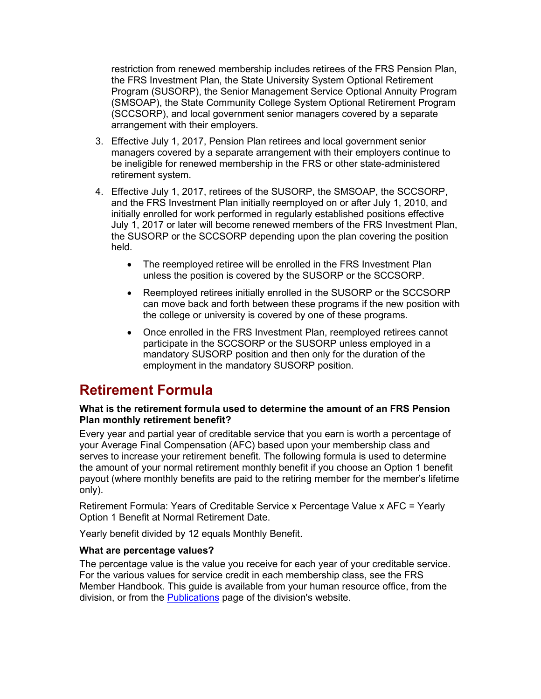restriction from renewed membership includes retirees of the FRS Pension Plan, the FRS Investment Plan, the State University System Optional Retirement Program (SUSORP), the Senior Management Service Optional Annuity Program (SMSOAP), the State Community College System Optional Retirement Program (SCCSORP), and local government senior managers covered by a separate arrangement with their employers.

- 3. Effective July 1, 2017, Pension Plan retirees and local government senior managers covered by a separate arrangement with their employers continue to be ineligible for renewed membership in the FRS or other state-administered retirement system.
- 4. Effective July 1, 2017, retirees of the SUSORP, the SMSOAP, the SCCSORP, and the FRS Investment Plan initially reemployed on or after July 1, 2010, and initially enrolled for work performed in regularly established positions effective July 1, 2017 or later will become renewed members of the FRS Investment Plan, the SUSORP or the SCCSORP depending upon the plan covering the position held.
	- The reemployed retiree will be enrolled in the FRS Investment Plan unless the position is covered by the SUSORP or the SCCSORP.
	- Reemployed retirees initially enrolled in the SUSORP or the SCCSORP can move back and forth between these programs if the new position with the college or university is covered by one of these programs.
	- Once enrolled in the FRS Investment Plan, reemployed retirees cannot participate in the SCCSORP or the SUSORP unless employed in a mandatory SUSORP position and then only for the duration of the employment in the mandatory SUSORP position.

## <span id="page-12-0"></span>**Retirement Formula**

#### **What is the retirement formula used to determine the amount of an FRS Pension Plan monthly retirement benefit?**

Every year and partial year of creditable service that you earn is worth a percentage of your Average Final Compensation (AFC) based upon your membership class and serves to increase your retirement benefit. The following formula is used to determine the amount of your normal retirement monthly benefit if you choose an Option 1 benefit payout (where monthly benefits are paid to the retiring member for the member's lifetime only).

Retirement Formula: Years of Creditable Service x Percentage Value x AFC = Yearly Option 1 Benefit at Normal Retirement Date.

Yearly benefit divided by 12 equals Monthly Benefit.

## **What are percentage values?**

The percentage value is the value you receive for each year of your creditable service. For the various values for service credit in each membership class, see the FRS Member Handbook. This guide is available from your human resource office, from the division, or from the [Publications](http://dms.myflorida.com/human_resource_support/retirement/publications) page of the division's website.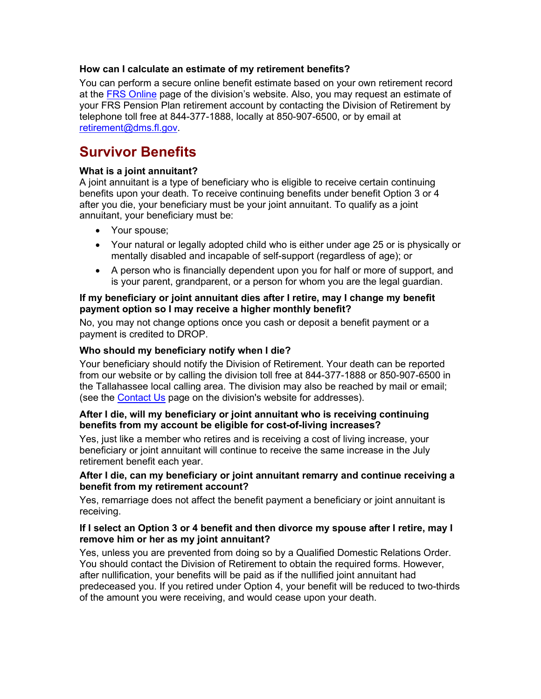#### **How can I calculate an estimate of my retirement benefits?**

You can perform a secure online benefit estimate based on your own retirement record at the [FRS Online](https://frs.fl.gov/login.aspx) page of the division's website. Also, you may request an estimate of your FRS Pension Plan retirement account by contacting the Division of Retirement by telephone toll free at 844-377-1888, locally at 850-907-6500, or by email at [retirement@dms.fl.gov.](mailto:retirement@dms.fl.gov)

## <span id="page-13-0"></span>**Survivor Benefits**

## **What is a joint annuitant?**

A joint annuitant is a type of beneficiary who is eligible to receive certain continuing benefits upon your death. To receive continuing benefits under benefit Option 3 or 4 after you die, your beneficiary must be your joint annuitant. To qualify as a joint annuitant, your beneficiary must be:

- Your spouse;
- Your natural or legally adopted child who is either under age 25 or is physically or mentally disabled and incapable of self-support (regardless of age); or
- A person who is financially dependent upon you for half or more of support, and is your parent, grandparent, or a person for whom you are the legal guardian.

#### **If my beneficiary or joint annuitant dies after I retire, may I change my benefit payment option so I may receive a higher monthly benefit?**

No, you may not change options once you cash or deposit a benefit payment or a payment is credited to DROP.

#### **Who should my beneficiary notify when I die?**

Your beneficiary should notify the Division of Retirement. Your death can be reported from our website or by calling the division toll free at 844-377-1888 or 850-907-6500 in the Tallahassee local calling area. The division may also be reached by mail or email; (see the [Contact Us](http://dms.myflorida.com/human_resource_support/retirement/contact_us) page on the division's website for addresses).

#### **After I die, will my beneficiary or joint annuitant who is receiving continuing benefits from my account be eligible for cost-of-living increases?**

Yes, just like a member who retires and is receiving a cost of living increase, your beneficiary or joint annuitant will continue to receive the same increase in the July retirement benefit each year.

#### **After I die, can my beneficiary or joint annuitant remarry and continue receiving a benefit from my retirement account?**

Yes, remarriage does not affect the benefit payment a beneficiary or joint annuitant is receiving.

#### **If I select an Option 3 or 4 benefit and then divorce my spouse after I retire, may I remove him or her as my joint annuitant?**

Yes, unless you are prevented from doing so by a Qualified Domestic Relations Order. You should contact the Division of Retirement to obtain the required forms. However, after nullification, your benefits will be paid as if the nullified joint annuitant had predeceased you. If you retired under Option 4, your benefit will be reduced to two-thirds of the amount you were receiving, and would cease upon your death.